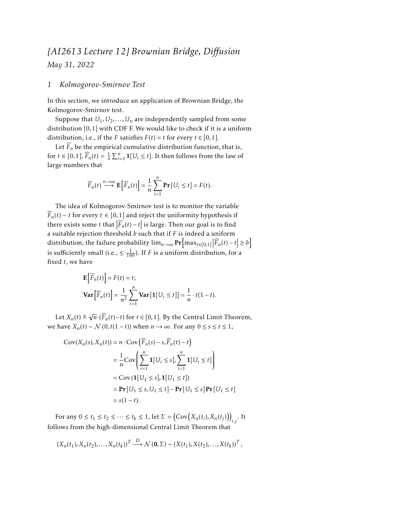# *[AI2613 Lecture 12] Brownian Bridge, Diffusion May 31, 2022*

#### *1 Kolmogorov-Smirnov Test*

In this section, we introduce an application of Brownian Bridge, the Kolmogorov-Smirnov test.

Suppose that  $U_1, U_2, \ldots, U_n$  are independently sampled from some distribution [0*,*1] with CDF F. We would like to check if it is a uniform distribution, i.e., if the *F* satisfies  $F(t) = t$  for every  $t \in [0, 1]$ .

Let  $\widehat{F}_n$  be the empirical cumulative distribution function, that is, for  $t \in [0,1]$ ,  $\widehat{F}_n(t) = \frac{1}{n} \sum_{i=1}^n \mathbf{1}[U_i \le t]$ . It then follows from the law of large numbers that

$$
\widehat{F}_n(t) \stackrel{n \to \infty}{\longrightarrow} \mathbf{E}\Big[\widehat{F}_n(t)\Big] = \frac{1}{n} \sum_{i=1}^n \mathbf{Pr}\big[U_i \le t\big] = F(t).
$$

The idea of Kolmogorov-Smirnov test is to monitor the variable  $\widehat{F}_n(t) - t$  for every  $t \in [0,1]$  and reject the uniformity hypothesis if there exists some *t* that  $|\widehat{F}_n(t) - t|$  is large. Then our goal is to find a suitable rejection threshold *b* such that if *F* is indeed a uniform distribution, the failure probability  $\lim_{n\to\infty} \Pr\left[\max_{t\in[0,1]} |\widehat{F}_n(t)-t| \geq b\right]$ is sufficiently small (i.e.,  $\leq \frac{1}{100}$ ). If *F* is a uniform distribution, for a fixed *t*, we have

$$
\mathbf{E}\left[\widehat{F}_n(t)\right] = F(t) = t;
$$
\n
$$
\mathbf{Var}\left[\widehat{F}_n(t)\right] = \frac{1}{n^2} \sum_{i=1}^n \mathbf{Var}\left[\mathbf{1}[U_i \le t]\right] = \frac{1}{n} \cdot t(1-t).
$$

Let  $X_n(t) \triangleq$  $\sqrt{n} \cdot (\widehat{F}_n(t) - t)$  for *t* ∈ [0,1]. By the Central Limit Theorem, we have  $X_n(t) \sim \mathcal{N}(0, t(1-t))$  when  $n \to \infty$ . For any  $0 \le s \le t \le 1$ ,

$$
Cov(X_n(s), X_n(t)) = n \cdot Cov\left(\widehat{F}_n(s) - s, \widehat{F}_n(t) - t\right)
$$
  
\n
$$
= \frac{1}{n} Cov\left(\sum_{i=1}^n \mathbf{1}[U_i \le s], \sum_{i=1}^n \mathbf{1}[U_i \le t]\right)
$$
  
\n
$$
= Cov\left(\mathbf{1}[U_1 \le s], \mathbf{1}[U_1 \le t]\right)
$$
  
\n
$$
= \mathbf{Pr}\left[U_1 \le s, U_1 \le t\right] - \mathbf{Pr}\left[U_1 \le s\right] \mathbf{Pr}\left[U_1 \le t\right]
$$
  
\n
$$
= s(1 - t).
$$

For any  $0 \le t_1 \le t_2 \le \cdots \le t_k \le 1$ , let  $\Sigma = \left(\text{Cov}\left(X_n(t_i), X_n(t_j)\right)\right)_{i,j}$ . It follows from the high-dimensional Central Limit Theorem that

$$
(X_n(t_1), X_n(t_2), \ldots, X_n(t_k))^T \stackrel{D}{\longrightarrow} \mathcal{N}(\mathbf{0}, \Sigma) \sim (X(t_1), X(t_2), \ldots, X(t_k))^T,
$$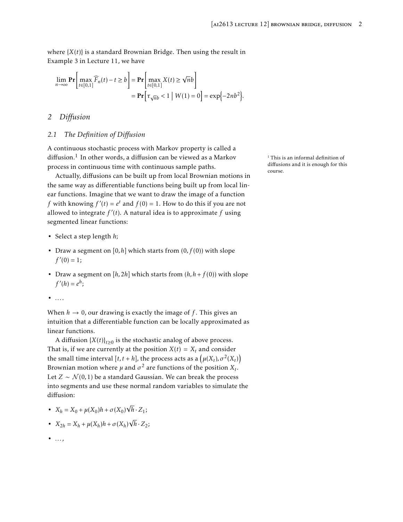where  ${X(t)}$  is a standard Brownian Bridge. Then using the result in Example 3 in Lecture 11, we have

$$
\lim_{n \to \infty} \mathbf{Pr} \bigg[ \max_{t \in [0,1]} \widehat{F}_n(t) - t \ge b \bigg] = \mathbf{Pr} \bigg[ \max_{t \in [0,1]} X(t) \ge \sqrt{n}b \bigg] \n= \mathbf{Pr} \bigg[ \tau_{\sqrt{n}b} < 1 \mid W(1) = 0 \bigg] = \exp \{-2nb^2\}.
$$

## *2 Diffusion*

### *2.1 The Definition of Diffusion*

A continuous stochastic process with Markov property is called a diffusion.<sup>1</sup> In other words, a diffusion can be viewed as a Markov  $1$  This is an informal definition of process in continuous time with continuous sample paths.

Actually, diffusions can be built up from local Brownian motions in the same way as differentiable functions being built up from local linear functions. Imagine that we want to draw the image of a function *f* with knowing  $f'(t) = e^t$  and  $f(0) = 1$ . How to do this if you are not allowed to integrate *f* ′ (*t*). A natural idea is to approximate *f* using segmented linear functions:

- Select a step length *h*;
- Draw a segment on [0*, h*] which starts from (0*, f* (0)) with slope  $f'(0) = 1;$
- Draw a segment on  $[h, 2h]$  which starts from  $(h, h + f(0))$  with slope  $f'(h) = e^h$ ;
- *...*.

When  $h \to 0$ , our drawing is exactly the image of f. This gives an intuition that a differentiable function can be locally approximated as linear functions.

A diffusion  ${X(t)}_{t\geq0}$  is the stochastic analog of above process. That is, if we are currently at the position  $X(t) = X_t$  and consider the small time interval  $[t, t+h]$ , the process acts as a  $\left(\mu(X_t), \sigma^2(X_t)\right)$ Brownian motion where  $\mu$  and  $\sigma^2$  are functions of the position  $X_t$ . Let *Z* ∼  $\mathcal{N}(0,1)$  be a standard Gaussian. We can break the process into segments and use these normal random variables to simulate the diffusion:

- $X_h = X_0 + \mu(X_0)h + \sigma(X_0)$ √  $h \cdot Z_1$ ;
- $X_{2h} = X_h + \mu(X_h)h + \sigma(X_h)$ √  $h \cdot Z_2$ ;
- *...*,

diffusions and it is enough for this course.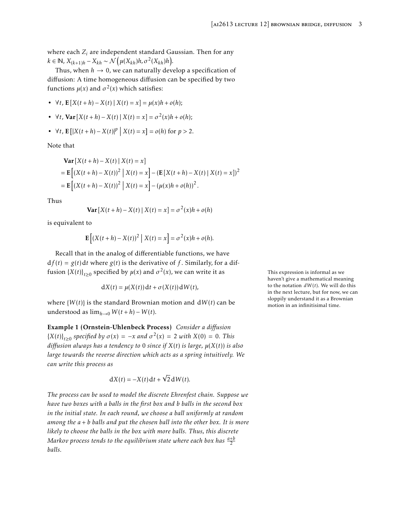where each *Z<sup>i</sup>* are independent standard Gaussian. Then for any  $k \in \mathbb{N}$ ,  $X_{(k+1)h} - X_{kh} \sim \mathcal{N}\left(\mu(X_{kh})h, \sigma^2(X_{kh})h\right).$ 

Thus, when  $h \to 0$ , we can naturally develop a specification of diffusion: A time homogeneous diffusion can be specified by two functions  $\mu(x)$  and  $\sigma^2(x)$  which satisfies:

- ∀*t*, E[*X*(*t* + *h*) − *X*(*t*) | *X*(*t*) = *x*] = *µ*(*x*)*h* + *o*(*h*);
- ∀*t*, Var [*X*(*t* + *h*) − *X*(*t*) | *X*(*t*) = *x*] = *σ* 2 (*x*)*h* + *o*(*h*);

• 
$$
\forall t, \mathbf{E} [ |X(t+h) - X(t)|^p | X(t) = x ] = o(h)
$$
 for  $p > 2$ .

Note that

Var 
$$
[X(t+h) - X(t) | X(t) = x]
$$
  
=  $\mathbf{E}[(X(t+h) - X(t))^2 | X(t) = x] - (\mathbf{E}[X(t+h) - X(t) | X(t) = x])^2$   
=  $\mathbf{E}[(X(t+h) - X(t))^2 | X(t) = x] - (\mu(x)h + o(h))^2$ .

Thus

$$
\mathbf{Var}\left[X(t+h) - X(t)\mid X(t) = x\right] = \sigma^2(x)h + o(h)
$$

is equivalent to

$$
\mathbf{E}\left[\left(X(t+h)-X(t)\right)^2\big|X(t)=x\right]=\sigma^2(x)h+o(h).
$$

Recall that in the analog of differentiable functions, we have  $df(t) = g(t) dt$  where  $g(t)$  is the derivative of f. Similarly, for a diffusion  ${X(t)}_{t\geq0}$  specified by  $\mu(x)$  and  $\sigma^2$ 

$$
dX(t) = \mu(X(t)) dt + \sigma(X(t)) dW(t),
$$

where  $\{W(t)\}\$ is the standard Brownian motion and  $dW(t)$  can be understood as  $\lim_{h\to 0} W(t+h) - W(t)$ .

Example 1 (Ornstein-Uhlenbeck Process) *Consider a diffusion*  ${X(t)}_{t\geq0}$  specified by  $\sigma(x) = -x$  and  $\sigma^2(x) = 2$  with  $X(0) = 0$ *. This diffusion always has a tendency to* 0 *since if X*(*t*) *is large, µ*(*X*(*t*)) *is also large towards the reverse direction which acts as a spring intuitively. We can write this process as*

$$
dX(t) = -X(t) dt + \sqrt{2} dW(t).
$$

*The process can be used to model the discrete Ehrenfest chain. Suppose we have two boxes with a balls in the first box and b balls in the second box in the initial state. In each round, we choose a ball uniformly at random among the a* + *b balls and put the chosen ball into the other box. It is more likely to choose the balls in the box with more balls. Thus, this discrete*  $M$ arkov process tends to the equilibrium state where each box has  $\frac{a+b}{2}$ *balls.*

This expression is informal as we haven't give a mathematical meaning to the notation  $dW(t)$ . We will do this in the next lecture, but for now, we can sloppily understand it as a Brownian motion in an infinitisimal time.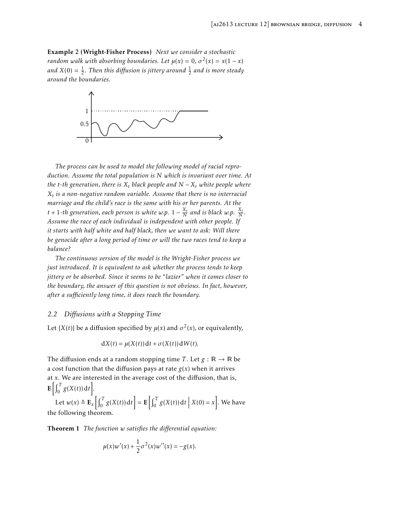Example 2 (Wright-Fisher Process) *Next we consider a stochastic random walk with absorbing boundaries. Let*  $\mu(x) = 0$ *,*  $\sigma^2(x) = x(1 - x)$ and  $X(0) = \frac{1}{2}$ . Then this diffusion is jittery around  $\frac{1}{2}$  and is more steady *around the boundaries.*



*The process can be used to model the following model of racial reproduction. Assume the total population is N which is invariant over time. At the t*-th generation, there is  $X_t$  black people and  $N - X_t$  white people where *Xt is a non-negative random variable. Assume that there is no interracial marriage and the child's race is the same with his or her parents. At the t* + 1-th generation, each person is white w.p.  $1 - \frac{X_t}{N}$  and is black w.p.  $\frac{X_t}{N}$ . *Assume the race of each individual is independent with other people. If it starts with half white and half black, then we want to ask: Will there be genocide after a long period of time or will the two races tend to keep a balance?*

*The continuous version of the model is the Wright-Fisher process we just introduced. It is equivalent to ask whether the process tends to keep jittery or be absorbed. Since it seems to be "lazier" when it comes closer to the boundary, the answer of this question is not obvious. In fact, however, after a sufficiently long time, it does reach the boundary.*

#### *2.2 Diffusions with a Stopping Time*

Let {*X*(*t*)} be a diffusion specified by  $\mu(x)$  and  $\sigma^2(x)$ , or equivalently,

$$
dX(t) = \mu(X(t)) dt + \sigma(X(t)) dW(t).
$$

The diffusion ends at a random stopping time *T*. Let  $g : \mathbb{R} \to \mathbb{R}$  be a cost function that the diffusion pays at rate  $g(x)$  when it arrives at *x*. We are interested in the average cost of the diffusion, that is,  $\mathbf{E}\left[\int_0^T g(X(t)) dt\right].$ 

Let  $w(x) \triangleq \mathbf{E}_x \left[ \int_0^T g(X(t)) dt \right] = \mathbf{E} \left[ \int_0^T g(X(t)) dt \right]$  $X(0) = x$ . We have the following theorem.

<span id="page-3-0"></span>Theorem 1 *The function w satisfies the differential equation:*

$$
\mu(x)w'(x) + \frac{1}{2}\sigma^2(x)w''(x) = -g(x).
$$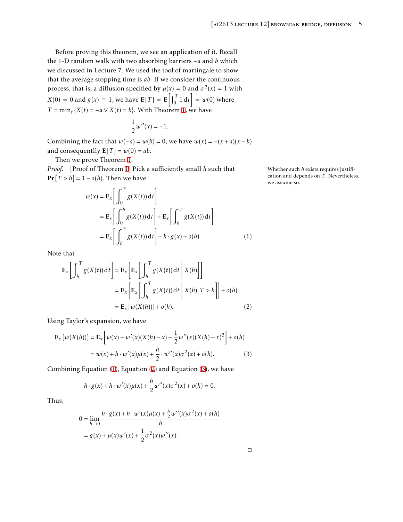Before proving this theorem, we see an application of it. Recall the 1-D random walk with two absorbing barriers −*a* and *b* which we discussed in Lecture 7. We used the tool of martingale to show that the average stopping time is *ab*. If we consider the continuous process, that is, a diffusion specified by  $\mu(x) = 0$  and  $\sigma^2(x) = 1$  with  $X(0) = 0$  and  $g(x) \equiv 1$ , we have  $\mathbf{E}[T] = \mathbf{E}\left[\int_0^T 1 dt\right] = w(0)$  where *T* =  $\min_t$  {*X*(*t*) = −*a* ∨ *X*(*t*) = *b*}. With Theorem [1,](#page-3-0) we have

$$
\frac{1}{2}w''(x)=-1.
$$

Combining the fact that  $w(-a) = w(b) = 0$ , we have  $w(x) = -(x+a)(x-b)$ and consequentlly  $E[T] = w(0) = ab$ .

Then we prove Theorem [1](#page-3-0).

*Proof.* [Proof of Theorem [1](#page-3-0)] Pick a sufficiently small *h* such that Whether such *h* exists requires justifi- $Pr[T > h] = 1 - o(h)$ . Then we have

$$
w(x) = \mathbf{E}_x \left[ \int_0^T g(X(t)) dt \right]
$$
  
=  $\mathbf{E}_x \left[ \int_0^h g(X(t)) dt \right] + \mathbf{E}_x \left[ \int_h^T g(X(t)) dt \right]$   
=  $\mathbf{E}_x \left[ \int_h^T g(X(t)) dt \right] + h \cdot g(x) + o(h).$  (1)

Note that

$$
\mathbf{E}_{x} \left[ \int_{h}^{T} g(X(t)) dt \right] = \mathbf{E}_{x} \left[ \mathbf{E}_{x} \left[ \int_{h}^{T} g(X(t)) dt \right| X(h) \right]
$$
  
\n
$$
= \mathbf{E}_{x} \left[ \mathbf{E}_{x} \left[ \int_{h}^{T} g(X(t)) dt \right| X(h), T > h \right] + o(h)
$$
  
\n
$$
= \mathbf{E}_{x} \left[ w(X(h)) \right] + o(h). \tag{2}
$$

Using Taylor's expansion, we have

$$
\mathbf{E}_{x} [w(X(h))] = \mathbf{E}_{x} \Big[ w(x) + w'(x)(X(h) - x) + \frac{1}{2} w''(x)(X(h) - x)^{2} \Big] + o(h)
$$
  
=  $w(x) + h \cdot w'(x) \mu(x) + \frac{h}{2} \cdot w''(x) \sigma^{2}(x) + o(h).$  (3)

Combining Equation [\(1\)](#page-4-0), Equation ([2](#page-4-1)) and Equation [\(3\)](#page-4-2), we have

<span id="page-4-2"></span>
$$
h \cdot g(x) + h \cdot w'(x) \mu(x) + \frac{h}{2} w''(x) \sigma^{2}(x) + o(h) = 0.
$$

Thus,

$$
0 = \lim_{h \to 0} \frac{h \cdot g(x) + h \cdot w'(x) \mu(x) + \frac{h}{2} w''(x) \sigma^2(x) + o(h)}{h}
$$
  
=  $g(x) + \mu(x) w'(x) + \frac{1}{2} \sigma^2(x) w''(x)$ .

<span id="page-4-1"></span><span id="page-4-0"></span>cation and depends on *T* . Nevertheless, we assume so.